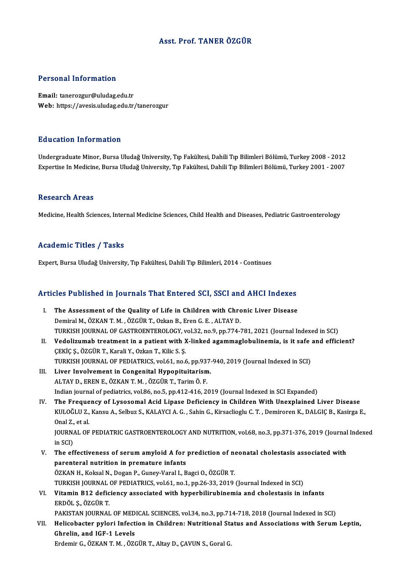## Asst. Prof. TANER ÖZGÜR

## Personal Information

Email: tanerozgur@uludag.edu.tr Web: https://avesis.uludag.edu.tr/tanerozgur

## Education Information

**Education Information**<br>Undergraduate Minor, Bursa Uludağ University, Tıp Fakültesi, Dahili Tıp Bilimleri Bölümü, Turkey 2008 - 2012<br>Evnertise In Medisine, Bursa Uludağ University, Tıp Fakültesi, Dahili Tıp Bilimleri Bölüm Eu u sutrom minomination<br>Undergraduate Minor, Bursa Uludağ University, Tıp Fakültesi, Dahili Tıp Bilimleri Bölümü, Turkey 2008 - 2012<br>Expertise In Medicine, Bursa Uludağ University, Tıp Fakültesi, Dahili Tıp Bilimleri Bölü Expertise In Medicine, Bursa Uludağ University, Tıp Fakültesi, Dahili Tıp Bilimleri Bölümü, Turkey 2001 - 2007<br>Research Areas

Medicine, Health Sciences, Internal Medicine Sciences, Child Health and Diseases, Pediatric Gastroenterology

## Academic Titles / Tasks

Expert, Bursa Uludağ University, Tıp Fakültesi, Dahili Tıp Bilimleri, 2014 - Continues

# expert, bursa bludag oniversity, Tip Fakultesi, Daniil Tip Blilmeri, 2014 - Continues<br>Articles Published in Journals That Entered SCI, SSCI and AHCI Indexes

- rticles Published in Journals That Entered SCI, SSCI and AHCI Indexes<br>I. The Assessment of the Quality of Life in Children with Chronic Liver Disease<br>Dominal M. ÖZKAN T. M. ÖZCÜR T. Orkan B. Fran G. E. ALTAV D. The Assessment of the Quality of Life in Children with Chronic Liver Disease<br>Demiral M., ÖZKAN T. M., ÖZGÜR T., Ozkan B., Eren G. E., ALTAY D. TURKISH JOURNAL OF GASTROENTEROLOGY, vol.32, no.9, pp.774-781, 2021 (Journal Indexed in SCI) Demiral M., ÖZKAN T. M. , ÖZGÜR T., Ozkan B., Eren G. E. , ALTAY D.<br>TURKISH JOURNAL OF GASTROENTEROLOGY, vol.32, no.9, pp.774-781, 2021 (Journal Indexed in SCI)<br>II. Vedolizumab treatment in a patient with X-linked agammagl
- ÇEKİÇ Ş., ÖZGÜR T., Karali Y., Ozkan T., Kilic S. Ş.<br>TURKISH JOURNAL OF PEDIATRICS, vol.61, no.6, pp.937-940, 2019 (Journal Indexed in SCI) Vedolizumab treatment in a patient with X-linked agammaglobulinemia, is it safe<br>ÇEKİÇ Ş., ÖZGÜR T., Karali Y., Ozkan T., Kilic S. Ş.<br>TURKISH JOURNAL OF PEDIATRICS, vol.61, no.6, pp.937-940, 2019 (Journal Indexed in SCI)<br>Li
- III. Liver Involvement in Congenital Hypopituitarism. ALTAYD.,ERENE.,ÖZKANT.M. ,ÖZGÜRT.,TarimÖ.F. Liver Involvement in Congenital Hypopituitarism.<br>ALTAY D., EREN E., ÖZKAN T. M. , ÖZGÜR T., Tarim Ö. F.<br>Indian journal of pediatrics, vol.86, no.5, pp.412-416, 2019 (Journal Indexed in SCI Expanded)<br>The Enequency of Lycoso ALTAY D., EREN E., ÖZKAN T. M. , ÖZGÜR T., Tarim Ö. F.<br>Indian journal of pediatrics, vol.86, no.5, pp.412-416, 2019 (Journal Indexed in SCI Expanded)<br>IV. The Frequency of Lysosomal Acid Lipase Deficiency in Children With U
- Indian journal of pediatrics, vol.86, no.5, pp.412-416, 2019 (Journal Indexed in SCI Expanded)<br>The Frequency of Lysosomal Acid Lipase Deficiency in Children With Unexplained Liver Disease<br>KULOĞLU Z., Kansu A., Selbuz S., K The Freque<br>KULOĞLU Z.,<br>Onal Z., et al.<br>JOUPNAL OF KULOĞLU Z., Kansu A., Selbuz S., KALAYCI A. G. , Sahin G., Kirsaclioglu C. T. , Demiroren K., DALGIÇ B., Kasirga E.,<br>Onal Z., et al.<br>JOURNAL OF PEDIATRIC GASTROENTEROLOGY AND NUTRITION, vol.68, no.3, pp.371-376, 2019 (Jour Onal Z.,<br>JOURNA<br>in SCI)<br>The of
- JOURNAL OF PEDIATRIC GASTROENTEROLOGY AND NUTRITION, vol.68, no.3, pp.371-376, 2019 (Journal<br>in SCI)<br>V. The effectiveness of serum amyloid A for prediction of neonatal cholestasis associated with<br>narontoral nutrition in pr in SCI)<br>V. The effectiveness of serum amyloid A for prediction of neonatal cholestasis associated with<br>parenteral nutrition in premature infants ÖZKAN H., Koksal N., Dogan P., Guney-Varal I., Bagci O., ÖZGÜR T. parenteral nutrition in premature infants<br>ÖZKAN H., Koksal N., Dogan P., Guney-Varal I., Bagci O., ÖZGÜR T.<br>TURKISH JOURNAL OF PEDIATRICS, vol.61, no.1, pp.26-33, 2019 (Journal Indexed in SCI)<br>Vitamin B12, deficiency assoc

# VI. Vitamin B12 deficiency associated with hyperbilirubinemia and cholestasis in infants TURKISH JOURNAL<br>Vitamin B12 defic<br>ERDÖL Ş., ÖZGÜR T.<br>PAKISTAN JOURNAL

PAKISTAN JOURNAL OF MEDICAL SCIENCES, vol.34, no.3, pp.714-718, 2018 (Journal Indexed in SCI)

ERDÖL Ș., ÖZGÜR T.<br>PAKISTAN JOURNAL OF MEDICAL SCIENCES, vol.34, no.3, pp.714-718, 2018 (Journal Indexed in SCI)<br>VII. Helicobacter pylori Infection in Children: Nutritional Status and Associations with Serum Leptin,<br>Chroli Ghrelin, and IGF-1 Levels<br>Erdemir G., ÖZKAN T. M., ÖZGÜR T., Altay D., CAVUN S., Goral G. Helicobacter pylori Infection in Children: Nutritional Sta<br>Ghrelin, and IGF-1 Levels<br>Erdemir G., ÖZKAN T. M. , ÖZGÜR T., Altay D., ÇAVUN S., Goral G.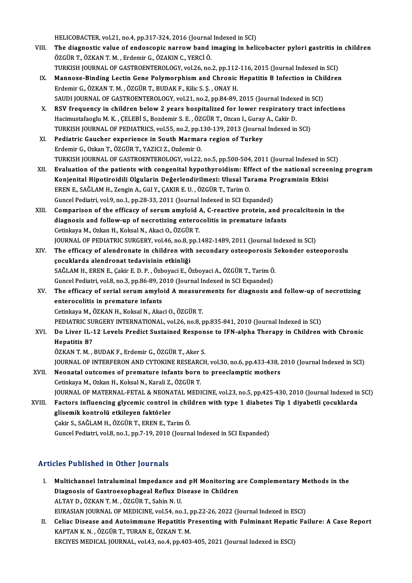HELICOBACTER, vol.21, no.4, pp.317-324, 2016 (Journal Indexed in SCI)<br>The diagnostic volve of endosconic neurous band imaging in beli

- HELICOBACTER, vol.21, no.4, pp.317-324, 2016 (Journal Indexed in SCI)<br>VIII. The diagnostic value of endoscopic narrow band imaging in helicobacter pylori gastritis in children<br>ÖZCÜP T. ÖZKAN T.M., Erdemir G. ÖZAKIN G. VERG HELICOBACTER, vol.21, no.4, pp.317-324, 2016 (Journal<br>The diagnostic value of endoscopic narrow band i<br>ÖZGÜR T., ÖZKAN T. M. , Erdemir G., ÖZAKIN C., YERCİ Ö.<br>TURKISH JOURNAL OF CASTROENTEROLOCY, vol.26, no. The diagnostic value of endoscopic narrow band imaging in helicobacter pylori gastritis in<br>ÖZGÜR T., ÖZKAN T. M. , Erdemir G., ÖZAKIN C., YERCİ Ö.<br>TURKISH JOURNAL OF GASTROENTEROLOGY, vol.26, no.2, pp.112-116, 2015 (Journa ÖZGÜR T., ÖZKAN T. M. , Erdemir G., ÖZAKIN C., YERCİ Ö.<br>TURKISH JOURNAL OF GASTROENTEROLOGY, vol.26, no.2, pp.112-116, 2015 (Journal Indexed in SCI)<br>IX. Mannose-Binding Lectin Gene Polymorphism and Chronic Hepatitis B Infe
- TURKISH JOURNAL OF GASTROENTEROLOGY, vol.26, no.2, pp.112-116, 2015 (Journal Indexed in SCI)<br>Mannose-Binding Lectin Gene Polymorphism and Chronic Hepatitis B Infection in Childrer<br>Erdemir G., ÖZKAN T. M. , ÖZGÜR T., BUDAK Mannose-Binding Lectin Gene Polymorphism and Chronic Hepatitis B Infection in Chi<br>Erdemir G., ÖZKAN T. M. , ÖZGÜR T., BUDAK F., Kilic S. Ş. , ONAY H.<br>SAUDI JOURNAL OF GASTROENTEROLOGY, vol.21, no.2, pp.84-89, 2015 (Journal SAUDI JOURNAL OF GASTROENTEROLOGY, vol.21, no.2, pp.84-89, 2015 (Journal Indexed in SCI)
- X. RSV frequency in children below 2 years hospitalized for lower respiratory tract infections<br>Hacimustafaoglu M. K., CELEBİ S., Bozdemir S. E., ÖZGÜR T., Ozcan I., Guray A., Cakir D. RSV frequency in children below 2 years hospitalized for lower respiratory tract<br>Hacimustafaoglu M. K., ÇELEBİ S., Bozdemir S. E., ÖZGÜR T., Ozcan I., Guray A., Cakir D.<br>TURKISH JOURNAL OF PEDIATRICS, vol.55, no.2, pp.130-Hacimustafaoglu M. K., ÇELEBİ S., Bozdemir S. E., ÖZGÜR T., Ozcan I., Guray<br>TURKISH JOURNAL OF PEDIATRICS, vol.55, no.2, pp.130-139, 2013 (Journa<br>XI. Pediatric Gaucher experience in South Marmara region of Turkey<br>Frdemir C
- TURKISH JOURNAL OF PEDIATRICS, vol.55, no.2, pp.1<br>Pediatric Gaucher experience in South Marmar<br>Erdemir G., Ozkan T., ÖZGÜR T., YAZICI Z., Ozdemir O.<br>TURKISH JOURNAL OF GASTROENTEROLOGY .vel 22. Pediatric Gaucher experience in South Marmara region of Turkey<br>Erdemir G., Ozkan T., ÖZGÜR T., YAZICI Z., Ozdemir O.<br>TURKISH JOURNAL OF GASTROENTEROLOGY, vol.22, no.5, pp.500-504, 2011 (Journal Indexed in SCI) Erdemir G., Ozkan T., ÖZGÜR T., YAZICI Z., Ozdemir O.<br>TURKISH JOURNAL OF GASTROENTEROLOGY, vol.22, no.5, pp.500-504, 2011 (Journal Indexed in SCI)<br>XII. Evaluation of the patients with congenital hypothyroidism: Effect
- TURKISH JOURNAL OF GASTROENTEROLOGY, vol.22, no.5, pp.500-504, 2011 (Journal Indexed in S<br>Evaluation of the patients with congenital hypothyroidism: Effect of the national scree<br>Konjenital Hipotiroidili Olgularin Değerlend Evaluation of the patients with congenital hypothyroidism: Eff<br>Konjenital Hipotiroidili Olgularin Değerlendirilmesi: Ulusal Ta<br>EREN E., SAĞLAM H., Zengin A., Gül Y., ÇAKIR E. U. , ÖZGÜR T., Tarim O.<br>Cungel Pediatri vel 9, Konjenital Hipotiroidili Olgularin Değerlendirilmesi: Ulusal Tarama Programinin Etkisi<br>EREN E., SAĞLAM H., Zengin A., Gül Y., ÇAKIR E. U. , ÖZGÜR T., Tarim O.<br>Guncel Pediatri, vol.9, no.1, pp.28-33, 2011 (Journal Indexed i EREN E., SAĞLAM H., Zengin A., Gül Y., ÇAKIR E. U. , ÖZGÜR T., Tarim O.<br>Guncel Pediatri, vol.9, no.1, pp.28-33, 2011 (Journal Indexed in SCI Expanded)<br>XIII. Comparison of the efficacy of serum amyloid A, C-reactive protein
- Guncel Pediatri, vol.9, no.1, pp.28-33, 2011 (Journal Indexed in SCI Expanded)<br>Comparison of the efficacy of serum amyloid A, C-reactive protein, and pi<br>diagnosis and follow-up of necrotizing enterocolitis in premature inf diagnosis and follow-up of necrotizing enterocolitis in premature infants<br>Cetinkaya M., Ozkan H., Koksal N., Akaci O., ÖZGÜR T. diagnosis and follow-up of necrotizing enterocolitis in premature infants<br>Cetinkaya M., Ozkan H., Koksal N., Akaci O., ÖZGÜR T.<br>JOURNAL OF PEDIATRIC SURGERY, vol.46, no.8, pp.1482-1489, 2011 (Journal Indexed in SCI)<br>The ef
- XIV. The efficacy of alendronate in children with secondary osteoporosis Sekonder osteoporozlu JOURNAL OF PEDIATRIC SURGERY, vol.46, no.8, p<br>The efficacy of alendronate in children with<br>cocuklarda alendronat tedavisinin etkinliği<br>SAČLAM H. EREN E. Cokir E. D. B. Ögboyaci E. Ö The efficacy of alendronate in children with secondary osteoporosis S<br>çocuklarda alendronat tedavisinin etkinliği<br>SAĞLAM H., EREN E., Çakir E. D. P. , Özboyaci E., Özboyaci A., ÖZGÜR T., Tarim Ö.<br>Cuncel Bediatri vel 8. no. çocuklarda alendronat tedavisinin etkinliği<br>SAĞLAM H., EREN E., Çakir E. D. P. , Özboyaci E., Özboyaci A., ÖZGÜR T., Tarim Ö<br>Guncel Pediatri, vol.8, no.3, pp.86-89, 2010 (Journal Indexed in SCI Expanded)<br>The efficesy of se SAĞLAM H., EREN E., Çakir E. D. P. , Özboyaci E., Özboyaci A., ÖZGÜR T., Tarim Ö.<br>Guncel Pediatri, vol.8, no.3, pp.86-89, 2010 (Journal Indexed in SCI Expanded)<br>XV. The efficacy of serial serum amyloid A measurements f
- Guncel Pediatri, vol.8, no.3, pp.86-89, 2010 (Journal Indexed in SCI Expanded)<br>The efficacy of serial serum amyloid A measurements for diagnosis a<br>enterocolitis in premature infants<br>Cetinkaya M., ÖZKAN H., Koksal N., Akaci The efficacy of serial serum amyloid A measure<br>enterocolitis in premature infants<br>Cetinkaya M., ÖZKAN H., Koksal N., Akaci O., ÖZGÜR T.<br>PEDIATRIC SURCERY INTERMATIONAL, val 26. no.9. x enterocolitis in premature infants<br>Cetinkaya M., ÖZKAN H., Koksal N., Akaci O., ÖZGÜR T.<br>PEDIATRIC SURGERY INTERNATIONAL, vol.26, no.8, pp.835-841, 2010 (Journal Indexed in SCI)<br>De Liver II, 12 Levels Predict Sustained Bes
	-

- XVI. Do Liver IL-12 Levels Predict Sustained Response to IFN-alpha Therapy in Children with Chronic PEDIATRIC SU<br>Do Liver IL-<br>Hepatitis B?<br>ÖZKAN T M Hepatitis B?<br>ÖZKAN T. M. , BUDAK F., Erdemir G., ÖZGÜR T., Aker S.<br>JOURNAL OF INTERFERON AND CYTOKINE RESEARCH, vol.30, no.6, pp.433-438, 2010 (Journal Indexed in SCI)<br>Neenstal autsemes of premature infants bern te pressle
	- ÖZKAN T.M., BUDAK F., Erdemir G., ÖZGÜR T., Aker S.

- ÖZKAN T. M., BUDAK F., Erdemir G., ÖZGÜR T., Aker S.<br>JOURNAL OF INTERFERON AND CYTOKINE RESEARCH, vol.30, no.6, pp.433-438, 2<br>XVII. Neonatal outcomes of premature infants born to preeclamptic mothers JOURNAL OF INTERFERON AND CYTOKINE RESEARON<br>Neonatal outcomes of premature infants born<br>Cetinkaya M., Ozkan H., Koksal N., Karali Z., ÖZGÜR T.<br>JOUPNAL OE MATEPNAL EETAL & NEONATAL MEDI XVII. Neonatal outcomes of premature infants born to preeclamptic mothers<br>Cetinkaya M., Ozkan H., Koksal N., Karali Z., ÖZGÜR T.<br>JOURNAL OF MATERNAL-FETAL & NEONATAL MEDICINE, vol.23, no.5, pp.425-430, 2010 (Journal Indexe Cetinkaya M., Ozkan H., Koksal N., Karali Z., ÖZGÜR T.<br>JOURNAL OF MATERNAL-FETAL & NEONATAL MEDICINE, vol.23, no.5, pp.425-430, 2010 (Journal Indexed in<br>XVIII. Factors influencing glycemic control in children with type 1 d
- glisemik kontrolü etkileyen faktörler<br>Çakir S., SAĞLAM H., ÖZGÜR T., EREN E., Tarim Ö. Factors influencing glycemic control in chil<br>glisemik kontrolü etkileyen faktörler<br>Çakir S., SAĞLAM H., ÖZGÜR T., EREN E., Tarim Ö.<br>Cuncel Bediatri vel 9 no 1 nn 7 19 2010 (Journ)

Guncel Pediatri, vol.8, no.1, pp.7-19, 2010 (Journal Indexed in SCI Expanded)

## Articles Published in Other Journals

- rticles Published in Other Journals<br>I. Multichannel Intraluminal Impedance and pH Monitoring are Complementary Methods in the<br>Diagnosis of Castrossephagoal Beflux Diagase in Children Multichannel Intraluminal Impedance and pH Monitoring a<br>Diagnosis of Gastroesophageal Reflux Disease in Children<br>ALTAV D. ÖZKAN T.M., ÖZCÜR T. Sobin N.H. Multichannel Intraluminal Impedance an<br>Diagnosis of Gastroesophageal Reflux Di<br>ALTAY D., ÖZKAN T. M. , ÖZGÜR T., Sahin N. U.<br>EURASIAN IQURNAL OF MEDICINE vol 54. no Diagnosis of Gastroesophageal Reflux Disease in Children<br>ALTAY D., ÖZKAN T. M. , ÖZGÜR T., Sahin N. U.<br>EURASIAN JOURNAL OF MEDICINE, vol.54, no.1, pp.22-26, 2022 (Journal Indexed in ESCI)<br>Coline Disease and Auteimmune Hene
- ALTAY D., ÖZKAN T. M. , ÖZGÜR T., Sahin N. U.<br>EURASIAN JOURNAL OF MEDICINE, vol.54, no.1, pp.22-26, 2022 (Journal Indexed in ESCI)<br>II. Celiac Disease and Autoimmune Hepatitis Presenting with Fulminant Hepatic Failure: A Ca EURASIAN JOURNAL OF MEDICINE, vol54, no.1, <sub>I</sub><br>Celiac Disease and Autoimmune Hepatitis P<br>KAPTAN K. N. , ÖZGÜR T., TURAN E., ÖZKAN T. M.<br>EPCIVES MEDICAL JOURNAL .vol.43, no.4, nn.403 Celiac Disease and Autoimmune Hepatitis Presenting with Fulminant Hepati<br>KAPTAN K. N. , ÖZGÜR T., TURAN E., ÖZKAN T. M.<br>ERCIYES MEDICAL JOURNAL, vol.43, no.4, pp.403-405, 2021 (Journal Indexed in ESCI)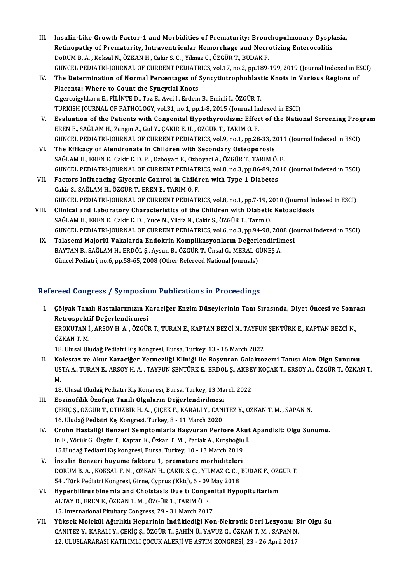- III. Insulin-Like Growth Factor-1 and Morbidities of Prematurity: Bronchopulmonary Dysplasia,<br>Retinenathy of Prematurity, Intreventuisular Hemerybege and Negratizing Entereselitie Insulin-Like Growth Factor-1 and Morbidities of Prematurity: Bronchopulmonary Dyspla<br>Retinopathy of Prematurity, Intraventricular Hemorrhage and Necrotizing Enterocolitis<br>RePUM B.A., Keksel N. ÖZKAN H. Cekin S.C., Vilmer G Retinopathy of Prematurity, Intraventricular Hemorrhage and Necrotizing Enterocolitis<br>DoRUM B.A., Koksal N., ÖZKAN H., Cakir S. C., Yilmaz C., ÖZGÜR T., BUDAK F. Retinopathy of Prematurity, Intraventricular Hemorrhage and Necrotizing Enterocolitis<br>DoRUM B. A. , Koksal N., ÖZKAN H., Cakir S. C. , Yilmaz C., ÖZGÜR T., BUDAK F.<br>GUNCEL PEDIATRI-JOURNAL OF CURRENT PEDIATRICS, vol.17, no
- IV. The Determination of Normal Percentages of Syncytiotrophoblastic Knots in Various Regions of GUNCEL PEDIATRI-JOURNAL OF CURRENT PEDIATH<br>The Determination of Normal Percentages of<br>Placenta: Where to Count the Syncytial Knots<br>Cisorswissklopy E. Ell INTE D. Tos E. Avsi L. Erdom CigercuigykkaruE.,FİLİNTED.,TozE.,Avci I.,ErdemB.,Eminli I.,ÖZGÜRT. TURKISH JOURNAL OF PATHOLOGY, vol.31, no.1, pp.1-8, 2015 (Journal Indexed in ESCI) Cigercuigykkaru E., FİLİNTE D., Toz E., Avci I., Erdem B., Eminli I., ÖZGÜR T.<br>TURKISH JOURNAL OF PATHOLOGY, vol.31, no.1, pp.1-8, 2015 (Journal Indexed in ESCI)<br>V. Evaluation of the Patients with Congenital Hypothyroidism
- EREN E., SAĞLAM H., Zengin A., Gul Y., ÇAKIR E. U. , ÖZGÜR T., TARIM Ö. F.<br>GUNCEL PEDIATRI-JOURNAL OF CURRENT PEDIATRICS, vol.9, no.1, pp.28-33, 2011 (Journal Indexed in ESCI) Evaluation of the Patients with Congenital Hypothyroidism: Effect of the National Screening Prog<br>EREN E., SAĞLAM H., Zengin A., Gul Y., ÇAKIR E. U. , ÖZGÜR T., TARIM Ö. F.<br>GUNCEL PEDIATRI-JOURNAL OF CURRENT PEDIATRICS, vol
- VI. The Efficacy of Alendronate in Children with Secondary Osteoporosis SAĞLAMH.,ERENE.,Cakir E.D.P. ,OzboyaciE.,OzboyaciA.,ÖZGÜRT.,TARIMÖ.F. The Efficacy of Alendronate in Children with Secondary Osteoporosis<br>SAĞLAM H., EREN E., Cakir E. D. P. , Ozboyaci E., Ozboyaci A., ÖZGÜR T., TARIM Ö. F.<br>GUNCEL PEDIATRI-JOURNAL OF CURRENT PEDIATRICS, vol.8, no.3, pp.86-89,
- VII. Factors Influencing Glycemic Control in Children with Type 1 Diabetes<br>Cakir S., SAĞLAM H., ÖZGÜR T., EREN E., TARIM Ö. F. GUNCEL PEDIATRI-JOURNAL OF CURRENT PEDIATR<br>Factors Influencing Glycemic Control in Childi<br>Cakir S., SAĞLAM H., ÖZGÜR T., EREN E., TARIM Ö. F.<br>CUNCEL PEDIATRI JOURNAL OF CURRENT PEDIATR Factors Influencing Glycemic Control in Children with Type 1 Diabetes<br>Cakir S., SAĞLAM H., ÖZGÜR T., EREN E., TARIM Ö. F.<br>GUNCEL PEDIATRI-JOURNAL OF CURRENT PEDIATRICS, vol.8, no.1, pp.7-19, 2010 (Journal Indexed in ESCI)<br>
- VIII. Clinical and Laboratory Characteristics of the Children with Diabetic Ketoacidosis<br>SAĞLAM H., EREN E., Cakir E. D., Yuce N., Yildiz N., Cakir S., ÖZGÜR T., Tanm O. GUNCEL PEDIATRI-JOURNAL OF CURRENT PEDIATRICS, vol.8, no.1, pp.7-19, 2<br>Clinical and Laboratory Characteristics of the Children with Diabetic<br>SAĞLAM H., EREN E., Cakir E. D. , Yuce N., Yildiz N., Cakir S., ÖZGÜR T., Tanm O. Clinical and Laboratory Characteristics of the Children with Diabetic Ketoacidosis<br>SAĞLAM H., EREN E., Cakir E. D. , Yuce N., Yildiz N., Cakir S., ÖZGÜR T., Tanm O.<br>GUNCEL PEDIATRI-JOURNAL OF CURRENT PEDIATRICS, vol.6, no. SAĞLAM H., EREN E., Cakir E. D., Yuce N., Yildiz N., Cakir S., ÖZGÜR T., Tanm O.<br>GUNCEL PEDIATRI-JOURNAL OF CURRENT PEDIATRICS, vol.6, no.3, pp.94-98, 2008 (Jc<br>IX. Talasemi Majorlü Vakalarda Endokrin Komplikasyonların Değe
- GUNCEL PEDIATRI-JOURNAL OF CURRENT PEDIATRICS, vol.6, no.3, pp.94-98, 200<br>Talasemi Majorlü Vakalarda Endokrin Komplikasyonların Değerlendirilr<br>BAYTAN B., SAĞLAM H., ERDÖL Ş., Aysun B., ÖZGÜR T., Ünsal G., MERAL GÜNEŞ A.<br>Cü Talasemi Majorlü Vakalarda Endokrin Komplikasyonların Değerlendirilmesi<br>BAYTAN B., SAĞLAM H., ERDÖL Ş., Aysun B., ÖZGÜR T., Ünsal G., MERAL GÜNEŞ A.<br>Güncel Pediatri, no.6, pp.58-65, 2008 (Other Refereed National Journals)

## Refereed Congress / Symposium Publications in Proceedings

efereed Congress / Symposium Publications in Proceedings<br>I. Çölyak Tanılı Hastalarımızın Karaciğer Enzim Düzeylerinin Tanı Sırasında, Diyet Öncesi ve Sonrası<br>Retrespektif Değerlendirmesi reta dengress 7 symposit<br>Çölyak Tanılı Hastalarımızın K<br>Retrospektif Değerlendirmesi<br>FROVUTANİ ARSOV HA ÖZCÜ Çölyak Tanılı Hastalarımızın Karaciğer Enzim Düzeylerinin Tanı Sırasında, Diyet Öncesi ve Sonr:<br>Retrospektif Değerlendirmesi<br>EROKUTAN İ., ARSOY H. A. , ÖZGÜR T., TURAN E., KAPTAN BEZCİ N., TAYFUN ŞENTÜRK E., KAPTAN BEZCİ N Retrospekti<br>EROKUTAN İ<br>ÖZKAN T. M.<br>19. Ulucal Ul EROKUTAN İ., ARSOY H. A. , ÖZGÜR T., TURAN E., KAPTAN BEZCİ N., TAYFUN<br>ÖZKAN T. M.<br>18. Ulusal Uludağ Pediatri Kış Kongresi, Bursa, Turkey, 13 - 16 March 2022<br>Kolostar ve Alut Konasiğan Yetmerliği Kliniği ile Bosuunan Calak ÖZKAN T. M.<br>18. Ulusal Uludağ Pediatri Kış Kongresi, Bursa, Turkey, 13 - 16 March 2022<br>II. Kolestaz ve Akut Karaciğer Yetmezliği Kliniği ile Başvuran Galaktozemi Tanısı Alan Olgu Sunumu

- 18. Ulusal Uludağ Pediatri Kış Kongresi, Bursa, Turkey, 13 16 March 2022<br>Kolestaz ve Akut Karaciğer Yetmezliği Kliniği ile Başvuran Galaktozemi Tanısı Alan Olgu Sunumu<br>USTA A., TURAN E., ARSOY H. A. , TAYFUN ŞENTÜRK E., Ko<br>US<br>M. USTA A., TURAN E., ARSOY H. A. , TAYFUN ŞENTÜRK E., ERDÖL Ş., AKBE<br>M.<br>18. Ulusal Uludağ Pediatri Kış Kongresi, Bursa, Turkey, 13 March 2022<br>Fozinofilik Özofajit Tapılı Olsuların Doğarlandirilmesi
- M.<br>18. Ulusal Uludağ Pediatri Kış Kongresi, Bursa, Turkey, 13 March 2022<br>III. Eozinofilik Özofajit Tanılı Olguların Değerlendirilmesi
- ÇEKİÇŞ.,ÖZGÜRT.,OTUZBİRH.A. ,ÇİÇEKF.,KARALIY.,CANITEZ Y.,ÖZKANT.M. ,SAPANN. 16. Uludağ Pediatri Kış Kongresi, Turkey, 8 - 11 March 2020
- IV. Crohn Hastaliği Benzeri Semptomlarla Başvuran Perfore Akut Apandisit: Olgu Sunumu. 16. Uludağ Pediatri Kış Kongresi, Turkey, 8 - 11 March 2020<br>Crohn Hastaliği Benzeri Semptomlarla Başvuran Perfore Akut<br>In E., Yörük G., Özgür T., Kaptan K., Özkan T. M. , Parlak A., Kırıştıoğlu İ.<br>15 Uludağ Pediatri Kış ka Crohn Hastaliği Benzeri Semptomlarla Başvuran Perfore Aki<br>In E., Yörük G., Özgür T., Kaptan K., Özkan T. M. , Parlak A., Kırıştıoğlu<br>15.Uludağ Pediatri Kış kongresi, Bursa, Turkey, 10 - 13 March 2019<br>İngülin Penzeri büyüme
- 15. Uludağ Pediatri Kış kongresi, Bursa, Turkey, 10 13 March 2019<br>V. İnsülin Benzeri büyüme faktörü 1, prematüre morbiditeleri 15.Uludağ Pediatri Kış kongresi, Bursa, Turkey, 10 - 13 March 2019<br>İnsülin Benzeri büyüme faktörü 1, prematüre morbiditeleri<br>DORUM B. A. , KÖKSAL F. N. , ÖZKAN H., ÇAKIR S. Ç. , YILMAZ C. C. , BUDAK F., ÖZGÜR T.<br>54 , Türk İnsülin Benzeri büyüme faktörü 1, prematüre morbiditeler<br>DORUM B. A. , KÖKSAL F. N. , ÖZKAN H., ÇAKIR S. Ç. , YILMAZ C. C. ,<br>54 . Türk Pediatri Kongresi, Girne, Cyprus (Kktc), 6 - 09 May 2018<br>Hunophilinuphinemia and Chelst DORUM B. A., KÖKSAL F. N., ÖZKAN H., ÇAKIR S. Ç., YILMAZ C. C., BUDAK F., ÖZG<br>54 . Türk Pediatri Kongresi, Girne, Cyprus (Kktc), 6 - 09 May 2018<br>VI. Hyperbilirunbinemia and Cholstasis Due tı Congenital Hypopituitarism<br>ALTA
- 54 . Türk Pediatri Kongresi, Girne, Cyprus (Kktc), 6 09 May 2018<br>Hyperbilirunbinemia and Cholstasis Due ti Congenital Hyp<br>ALTAY D., EREN E., ÖZKAN T. M. , ÖZGÜR T., TARIM Ö. F.<br>15. International Pituitary Congress, 29 VI. Hyperbilirunbinemia and Cholstasis Due ti Congenital Hypopituitarism ALTAY D., EREN E., ÖZKAN T. M. , ÖZGÜR T., TARIM Ö. F.<br>15. International Pituitary Congress, 29 - 31 March 2017<br>VII. Yüksek Molekül Ağırlıklı Heparinin İndüklediği Non-Nekrotik Deri Lezyonu: Bir Olgu Su<br>CANITEZ V. KARA
- 15. International Pituitary Congress, 29 31 March 2017<br>Yüksek Molekül Ağırlıklı Heparinin İndüklediği Non-Nekrotik Deri Lezyonu: B<br>CANITEZ Y., KARALI Y., ÇEKİÇ Ş., ÖZGÜR T., ŞAHİN Ü., YAVUZ G., ÖZKAN T. M. , SAPAN N.<br>12. Yüksek Molekül Ağırlıklı Heparinin İndüklediği Non-Nekrotik Deri Lezyonu: 1<br>CANITEZ Y., KARALI Y., ÇEKİÇ Ş., ÖZGÜR T., ŞAHİN Ü., YAVUZ G., ÖZKAN T. M. , SAPAN N<br>12. ULUSLARARASI KATILIMLI ÇOCUK ALERJİ VE ASTIM KONGRESİ, 23